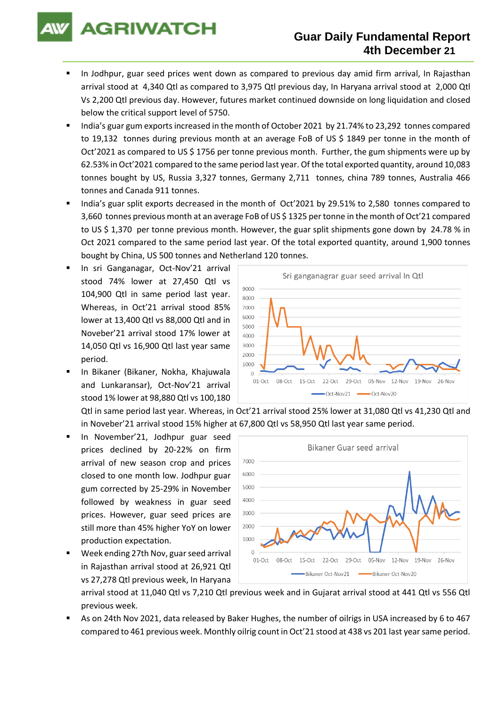

# **Guar Daily Fundamental Report 4th December 21**

- In Jodhpur, guar seed prices went down as compared to previous day amid firm arrival, In Rajasthan arrival stood at 4,340 Qtl as compared to 3,975 Qtl previous day, In Haryana arrival stood at 2,000 Qtl Vs 2,200 Qtl previous day. However, futures market continued downside on long liquidation and closed below the critical support level of 5750.
- India's guar gum exports increased in the month of October 2021 by 21.74% to 23,292 tonnes compared to 19,132 tonnes during previous month at an average FoB of US \$ 1849 per tonne in the month of Oct'2021 as compared to US \$ 1756 per tonne previous month. Further, the gum shipments were up by 62.53% in Oct'2021 compared to the same period last year. Of the total exported quantity, around 10,083 tonnes bought by US, Russia 3,327 tonnes, Germany 2,711 tonnes, china 789 tonnes, Australia 466 tonnes and Canada 911 tonnes.
- India's guar split exports decreased in the month of Oct'2021 by 29.51% to 2,580 tonnes compared to 3,660 tonnes previous month at an average FoB of US \$ 1325 per tonne in the month of Oct'21 compared to US \$ 1,370 per tonne previous month. However, the guar split shipments gone down by 24.78 % in Oct 2021 compared to the same period last year. Of the total exported quantity, around 1,900 tonnes bought by China, US 500 tonnes and Netherland 120 tonnes.
- In sri Ganganagar, Oct-Nov'21 arrival stood 74% lower at 27,450 Qtl vs 104,900 Qtl in same period last year. Whereas, in Oct'21 arrival stood 85% lower at 13,400 Qtl vs 88,000 Qtl and in Noveber'21 arrival stood 17% lower at 14,050 Qtl vs 16,900 Qtl last year same period.
- In Bikaner (Bikaner, Nokha, Khajuwala and Lunkaransar), Oct-Nov'21 arrival stood 1% lower at 98,880 Qtl vs 100,180



Qtl in same period last year. Whereas, in Oct'21 arrival stood 25% lower at 31,080 Qtl vs 41,230 Qtl and in Noveber'21 arrival stood 15% higher at 67,800 Qtl vs 58,950 Qtl last year same period.

- In November'21, Jodhpur guar seed prices declined by 20-22% on firm arrival of new season crop and prices closed to one month low. Jodhpur guar gum corrected by 25-29% in November followed by weakness in guar seed prices. However, guar seed prices are still more than 45% higher YoY on lower production expectation.
- Week ending 27th Nov, guar seed arrival in Rajasthan arrival stood at 26,921 Qtl vs 27,278 Qtl previous week, In Haryana



arrival stood at 11,040 Qtl vs 7,210 Qtl previous week and in Gujarat arrival stood at 441 Qtl vs 556 Qtl previous week.

As on 24th Nov 2021, data released by Baker Hughes, the number of oilrigs in USA increased by 6 to 467 compared to 461 previous week. Monthly oilrig count in Oct'21 stood at 438 vs 201 last year same period.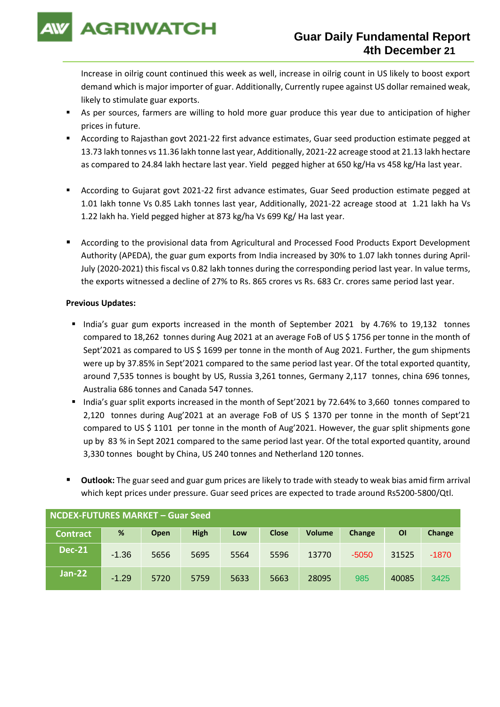

Increase in oilrig count continued this week as well, increase in oilrig count in US likely to boost export demand which is major importer of guar. Additionally, Currently rupee against US dollar remained weak, likely to stimulate guar exports.

- As per sources, farmers are willing to hold more guar produce this year due to anticipation of higher prices in future.
- According to Rajasthan govt 2021-22 first advance estimates, Guar seed production estimate pegged at 13.73 lakh tonnes vs 11.36 lakh tonne last year, Additionally, 2021-22 acreage stood at 21.13 lakh hectare as compared to 24.84 lakh hectare last year. Yield pegged higher at 650 kg/Ha vs 458 kg/Ha last year.
- According to Gujarat govt 2021-22 first advance estimates, Guar Seed production estimate pegged at 1.01 lakh tonne Vs 0.85 Lakh tonnes last year, Additionally, 2021-22 acreage stood at 1.21 lakh ha Vs 1.22 lakh ha. Yield pegged higher at 873 kg/ha Vs 699 Kg/ Ha last year.
- According to the provisional data from Agricultural and Processed Food Products Export Development Authority (APEDA), the guar gum exports from India increased by 30% to 1.07 lakh tonnes during April-July (2020-2021) this fiscal vs 0.82 lakh tonnes during the corresponding period last year. In value terms, the exports witnessed a decline of 27% to Rs. 865 crores vs Rs. 683 Cr. crores same period last year.

### **Previous Updates:**

- India's guar gum exports increased in the month of September 2021 by 4.76% to 19,132 tonnes compared to 18,262 tonnes during Aug 2021 at an average FoB of US \$ 1756 per tonne in the month of Sept'2021 as compared to US \$ 1699 per tonne in the month of Aug 2021. Further, the gum shipments were up by 37.85% in Sept'2021 compared to the same period last year. Of the total exported quantity, around 7,535 tonnes is bought by US, Russia 3,261 tonnes, Germany 2,117 tonnes, china 696 tonnes, Australia 686 tonnes and Canada 547 tonnes.
- India's guar split exports increased in the month of Sept'2021 by 72.64% to 3,660 tonnes compared to 2,120 tonnes during Aug'2021 at an average FoB of US \$ 1370 per tonne in the month of Sept'21 compared to US \$ 1101 per tonne in the month of Aug'2021. However, the guar split shipments gone up by 83 % in Sept 2021 compared to the same period last year. Of the total exported quantity, around 3,330 tonnes bought by China, US 240 tonnes and Netherland 120 tonnes.
- **Outlook:** The guar seed and guar gum prices are likely to trade with steady to weak bias amid firm arrival which kept prices under pressure. Guar seed prices are expected to trade around Rs5200-5800/Qtl.

| NCDEX-FUTURES MARKET – Guar Seed |         |      |             |      |              |               |         |           |         |
|----------------------------------|---------|------|-------------|------|--------------|---------------|---------|-----------|---------|
| <b>Contract</b>                  | %       | Open | <b>High</b> | Low  | <b>Close</b> | <b>Volume</b> | Change  | <b>OI</b> | Change  |
| <b>Dec-21</b>                    | $-1.36$ | 5656 | 5695        | 5564 | 5596         | 13770         | $-5050$ | 31525     | $-1870$ |
| <b>Jan-22</b>                    | $-1.29$ | 5720 | 5759        | 5633 | 5663         | 28095         | 985     | 40085     | 3425    |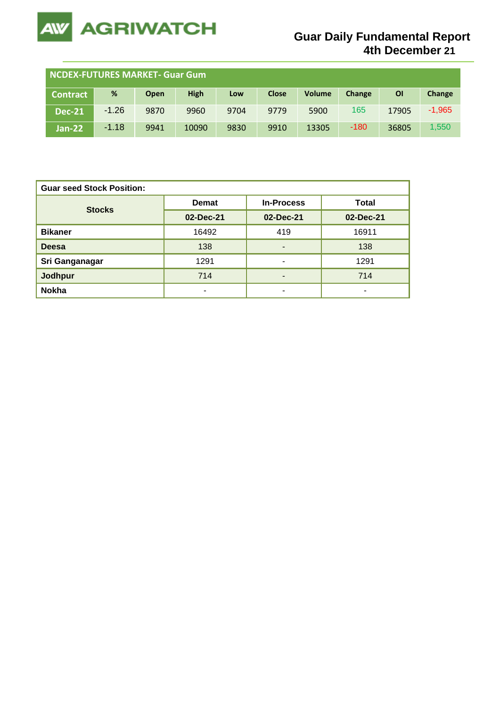

| <b>NCDEX-FUTURES MARKET- Guar Gum</b> |         |             |             |      |              |               |        |           |          |
|---------------------------------------|---------|-------------|-------------|------|--------------|---------------|--------|-----------|----------|
| Contract                              | %       | <b>Open</b> | <b>High</b> | Low  | <b>Close</b> | <b>Volume</b> | Change | <b>OI</b> | Change   |
| <b>Dec-21</b>                         | $-1.26$ | 9870        | 9960        | 9704 | 9779         | 5900          | 165    | 17905     | $-1,965$ |
| <b>Jan-22</b>                         | $-1.18$ | 9941        | 10090       | 9830 | 9910         | 13305         | -180   | 36805     | 1,550    |

| <b>Guar seed Stock Position:</b> |              |                   |              |  |  |  |  |
|----------------------------------|--------------|-------------------|--------------|--|--|--|--|
| <b>Stocks</b>                    | <b>Demat</b> | <b>In-Process</b> | <b>Total</b> |  |  |  |  |
|                                  | 02-Dec-21    | 02-Dec-21         | 02-Dec-21    |  |  |  |  |
| <b>Bikaner</b>                   | 16492        | 419               | 16911        |  |  |  |  |
| <b>Deesa</b>                     | 138          | -                 | 138          |  |  |  |  |
| Sri Ganganagar                   | 1291         | ۰                 | 1291         |  |  |  |  |
| <b>Jodhpur</b>                   | 714          | -                 | 714          |  |  |  |  |
| <b>Nokha</b>                     | ۰            | ۰                 | ۰            |  |  |  |  |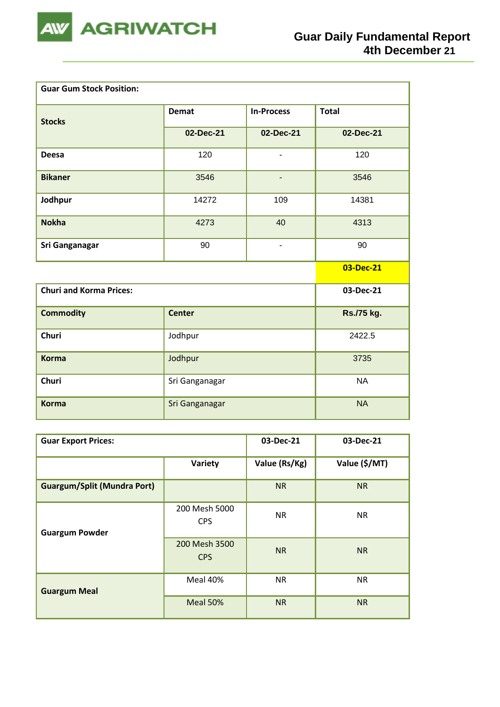

| <b>Guar Gum Stock Position:</b> |                |                          |              |
|---------------------------------|----------------|--------------------------|--------------|
| <b>Stocks</b>                   | <b>Demat</b>   | <b>In-Process</b>        | <b>Total</b> |
|                                 | 02-Dec-21      | 02-Dec-21                | 02-Dec-21    |
| <b>Deesa</b>                    | 120            | $\overline{\phantom{a}}$ | 120          |
| <b>Bikaner</b>                  | 3546           | $\overline{a}$           | 3546         |
| Jodhpur                         | 14272          | 109                      | 14381        |
| <b>Nokha</b>                    | 4273           | 40                       | 4313         |
| Sri Ganganagar                  | 90             | $\overline{a}$           | 90           |
|                                 |                |                          | 03-Dec-21    |
| <b>Churi and Korma Prices:</b>  |                |                          | 03-Dec-21    |
| <b>Commodity</b>                | <b>Center</b>  |                          | Rs./75 kg.   |
| <b>Churi</b>                    | Jodhpur        | 2422.5                   |              |
| <b>Korma</b>                    | Jodhpur        | 3735                     |              |
| <b>Churi</b>                    | Sri Ganganagar | <b>NA</b>                |              |
| <b>Korma</b>                    | Sri Ganganagar |                          | <b>NA</b>    |

| <b>Guar Export Prices:</b>         | 03-Dec-21                   | 03-Dec-21     |               |
|------------------------------------|-----------------------------|---------------|---------------|
|                                    | Variety                     | Value (Rs/Kg) | Value (\$/MT) |
| <b>Guargum/Split (Mundra Port)</b> |                             | <b>NR</b>     | <b>NR</b>     |
| <b>Guargum Powder</b>              | 200 Mesh 5000<br><b>CPS</b> | <b>NR</b>     | <b>NR</b>     |
|                                    | 200 Mesh 3500<br><b>CPS</b> | <b>NR</b>     | <b>NR</b>     |
| <b>Guargum Meal</b>                | Meal 40%                    | <b>NR</b>     | <b>NR</b>     |
|                                    | Meal 50%                    | <b>NR</b>     | <b>NR</b>     |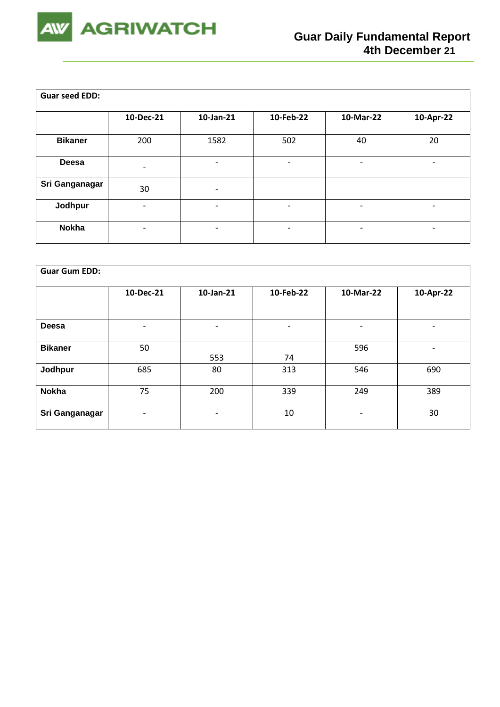

| <b>Guar seed EDD:</b> |                          |                          |                          |                          |                          |
|-----------------------|--------------------------|--------------------------|--------------------------|--------------------------|--------------------------|
|                       | 10-Dec-21                | 10-Jan-21                | 10-Feb-22                | 10-Mar-22                | 10-Apr-22                |
| <b>Bikaner</b>        | 200                      | 1582                     | 502                      | 40                       | 20                       |
| <b>Deesa</b>          | $\overline{\phantom{a}}$ |                          | $\overline{\phantom{0}}$ | -                        | $\overline{\phantom{a}}$ |
| Sri Ganganagar        | 30                       | $\overline{\phantom{a}}$ |                          |                          |                          |
| Jodhpur               | $\overline{\phantom{a}}$ | $\overline{\phantom{0}}$ | $\overline{\phantom{a}}$ | $\overline{\phantom{a}}$ | -                        |
| <b>Nokha</b>          |                          | $\overline{a}$           | $\overline{\phantom{0}}$ | -                        | -                        |

| <b>Guar Gum EDD:</b> |                          |                |                          |                              |                          |
|----------------------|--------------------------|----------------|--------------------------|------------------------------|--------------------------|
|                      | 10-Dec-21                | 10-Jan-21      | 10-Feb-22                | 10-Mar-22                    | 10-Apr-22                |
|                      |                          |                |                          |                              |                          |
| Deesa                | $\overline{\phantom{a}}$ | $\blacksquare$ | $\overline{\phantom{0}}$ | $\overline{\phantom{0}}$     | $\overline{\phantom{a}}$ |
| <b>Bikaner</b>       | 50                       | 553            | 74                       | 596                          | $\qquad \qquad$          |
| Jodhpur              | 685                      | 80             | 313                      | 546                          | 690                      |
| <b>Nokha</b>         | 75                       | 200            | 339                      | 249                          | 389                      |
| Sri Ganganagar       | -                        | ۰              | 10                       | $\qquad \qquad \blacksquare$ | 30                       |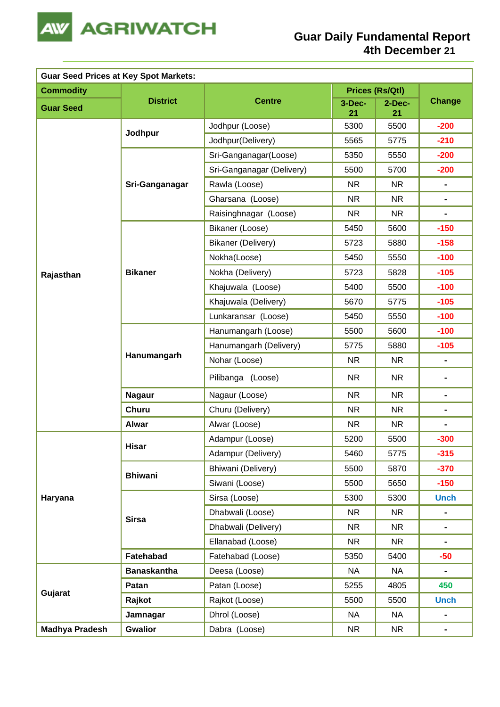

| <b>Guar Seed Prices at Key Spot Markets:</b> |                    |                           |              |                 |                              |
|----------------------------------------------|--------------------|---------------------------|--------------|-----------------|------------------------------|
| <b>Commodity</b>                             |                    |                           |              | Prices (Rs/Qtl) |                              |
| <b>Guar Seed</b>                             | <b>District</b>    | <b>Centre</b>             | 3-Dec-<br>21 | $2$ -Dec-<br>21 | <b>Change</b>                |
|                                              |                    | Jodhpur (Loose)           | 5300         | 5500            | $-200$                       |
|                                              | Jodhpur            | Jodhpur(Delivery)         | 5565         | 5775            | $-210$                       |
|                                              |                    | Sri-Ganganagar(Loose)     | 5350         | 5550            | $-200$                       |
|                                              |                    | Sri-Ganganagar (Delivery) | 5500         | 5700            | $-200$                       |
|                                              | Sri-Ganganagar     | Rawla (Loose)             | <b>NR</b>    | <b>NR</b>       | $\blacksquare$               |
|                                              |                    | Gharsana (Loose)          | <b>NR</b>    | <b>NR</b>       | $\blacksquare$               |
|                                              |                    | Raisinghnagar (Loose)     | <b>NR</b>    | NR.             | $\blacksquare$               |
|                                              |                    | Bikaner (Loose)           | 5450         | 5600            | $-150$                       |
|                                              |                    | Bikaner (Delivery)        | 5723         | 5880            | $-158$                       |
|                                              |                    | Nokha(Loose)              | 5450         | 5550            | $-100$                       |
| Rajasthan                                    | <b>Bikaner</b>     | Nokha (Delivery)          | 5723         | 5828            | $-105$                       |
|                                              |                    | Khajuwala (Loose)         | 5400         | 5500            | $-100$                       |
|                                              |                    | Khajuwala (Delivery)      | 5670         | 5775            | $-105$                       |
|                                              |                    | Lunkaransar (Loose)       | 5450         | 5550            | $-100$                       |
|                                              | Hanumangarh        | Hanumangarh (Loose)       | 5500         | 5600            | $-100$                       |
|                                              |                    | Hanumangarh (Delivery)    | 5775         | 5880            | $-105$                       |
|                                              |                    | Nohar (Loose)             | <b>NR</b>    | <b>NR</b>       | $\qquad \qquad \blacksquare$ |
|                                              |                    | Pilibanga (Loose)         | <b>NR</b>    | <b>NR</b>       | $\blacksquare$               |
|                                              | <b>Nagaur</b>      | Nagaur (Loose)            | <b>NR</b>    | <b>NR</b>       | $\blacksquare$               |
|                                              | <b>Churu</b>       | Churu (Delivery)          | <b>NR</b>    | <b>NR</b>       | $\blacksquare$               |
|                                              | <b>Alwar</b>       | Alwar (Loose)             | <b>NR</b>    | <b>NR</b>       |                              |
|                                              |                    | Adampur (Loose)           | 5200         | 5500            | $-300$                       |
|                                              | Hisar              | Adampur (Delivery)        | 5460         | 5775            | $-315$                       |
|                                              | <b>Bhiwani</b>     | Bhiwani (Delivery)        | 5500         | 5870            | $-370$                       |
|                                              |                    | Siwani (Loose)            | 5500         | 5650            | $-150$                       |
| Haryana                                      |                    | Sirsa (Loose)             | 5300         | 5300            | <b>Unch</b>                  |
|                                              | <b>Sirsa</b>       | Dhabwali (Loose)          | <b>NR</b>    | <b>NR</b>       | $\blacksquare$               |
|                                              |                    | Dhabwali (Delivery)       | <b>NR</b>    | <b>NR</b>       | $\blacksquare$               |
|                                              |                    | Ellanabad (Loose)         | <b>NR</b>    | <b>NR</b>       | $\blacksquare$               |
|                                              | Fatehabad          | Fatehabad (Loose)         | 5350         | 5400            | $-50$                        |
|                                              | <b>Banaskantha</b> | Deesa (Loose)             | <b>NA</b>    | <b>NA</b>       | $\blacksquare$               |
| Gujarat                                      | Patan              | Patan (Loose)             | 5255         | 4805            | 450                          |
|                                              | Rajkot             | Rajkot (Loose)            | 5500         | 5500            | <b>Unch</b>                  |
|                                              | Jamnagar           | Dhrol (Loose)             | <b>NA</b>    | <b>NA</b>       | $\blacksquare$               |
| <b>Madhya Pradesh</b>                        | <b>Gwalior</b>     | Dabra (Loose)             | <b>NR</b>    | <b>NR</b>       | $\blacksquare$               |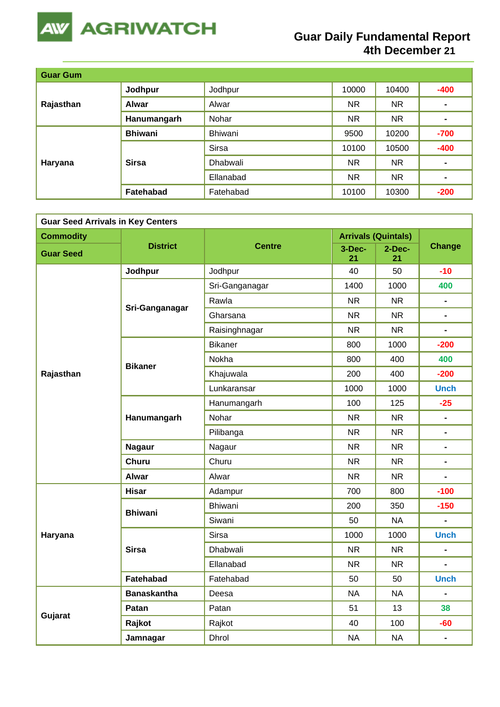

# **Guar Daily Fundamental Report 4th December 21**

| <b>Guar Gum</b> |                |              |           |           |                |
|-----------------|----------------|--------------|-----------|-----------|----------------|
| Rajasthan       | Jodhpur        | Jodhpur      | 10000     | 10400     | $-400$         |
|                 | Alwar          | Alwar        | <b>NR</b> | <b>NR</b> | $\blacksquare$ |
|                 | Hanumangarh    | Nohar        | <b>NR</b> | <b>NR</b> | $\blacksquare$ |
| Haryana         | <b>Bhiwani</b> | Bhiwani      | 9500      | 10200     | $-700$         |
|                 | <b>Sirsa</b>   | <b>Sirsa</b> | 10100     | 10500     | $-400$         |
|                 |                | Dhabwali     | <b>NR</b> | <b>NR</b> | $\blacksquare$ |
|                 |                | Ellanabad    | <b>NR</b> | <b>NR</b> | $\blacksquare$ |
|                 | Fatehabad      | Fatehabad    | 10100     | 10300     | $-200$         |

| <b>Guar Seed Arrivals in Key Centers</b> |                    |                 |              |                            |                |  |  |
|------------------------------------------|--------------------|-----------------|--------------|----------------------------|----------------|--|--|
| <b>Commodity</b>                         |                    |                 |              | <b>Arrivals (Quintals)</b> |                |  |  |
| <b>Guar Seed</b>                         | <b>District</b>    | <b>Centre</b>   | 3-Dec-<br>21 | 2-Dec-<br>21               | <b>Change</b>  |  |  |
|                                          | Jodhpur            | Jodhpur         | 40           | 50                         | $-10$          |  |  |
|                                          |                    | Sri-Ganganagar  | 1400         | 1000                       | 400            |  |  |
|                                          | Sri-Ganganagar     | Rawla           | <b>NR</b>    | <b>NR</b>                  | $\blacksquare$ |  |  |
|                                          |                    | Gharsana        | <b>NR</b>    | <b>NR</b>                  | $\blacksquare$ |  |  |
|                                          |                    | Raisinghnagar   | <b>NR</b>    | <b>NR</b>                  | $\overline{a}$ |  |  |
|                                          |                    | <b>Bikaner</b>  | 800          | 1000                       | $-200$         |  |  |
|                                          | <b>Bikaner</b>     | Nokha           | 800          | 400                        | 400            |  |  |
| Rajasthan                                |                    | Khajuwala       | 200          | 400                        | $-200$         |  |  |
|                                          |                    | Lunkaransar     | 1000         | 1000                       | <b>Unch</b>    |  |  |
|                                          |                    | Hanumangarh     | 100          | 125                        | $-25$          |  |  |
|                                          | Hanumangarh        | Nohar           | <b>NR</b>    | <b>NR</b>                  | $\blacksquare$ |  |  |
|                                          |                    | Pilibanga       | <b>NR</b>    | <b>NR</b>                  | $\blacksquare$ |  |  |
|                                          | <b>Nagaur</b>      | Nagaur          | <b>NR</b>    | <b>NR</b>                  | $\blacksquare$ |  |  |
|                                          | <b>Churu</b>       | Churu           | <b>NR</b>    | NR.                        | $\blacksquare$ |  |  |
|                                          | <b>Alwar</b>       | Alwar           | <b>NR</b>    | <b>NR</b>                  | $\blacksquare$ |  |  |
|                                          | <b>Hisar</b>       | Adampur         | 700          | 800                        | $-100$         |  |  |
|                                          | <b>Bhiwani</b>     | <b>Bhiwani</b>  | 200          | 350                        | $-150$         |  |  |
|                                          |                    | Siwani          | 50           | <b>NA</b>                  |                |  |  |
| Haryana                                  |                    | <b>Sirsa</b>    | 1000         | 1000                       | <b>Unch</b>    |  |  |
|                                          | <b>Sirsa</b>       | <b>Dhabwali</b> | <b>NR</b>    | NR.                        | $\blacksquare$ |  |  |
|                                          |                    | Ellanabad       | <b>NR</b>    | NR.                        | L.             |  |  |
|                                          | Fatehabad          | Fatehabad       | 50           | 50                         | <b>Unch</b>    |  |  |
|                                          | <b>Banaskantha</b> | Deesa           | <b>NA</b>    | <b>NA</b>                  | $\blacksquare$ |  |  |
|                                          | Patan              | Patan           | 51           | 13                         | 38             |  |  |
| Gujarat                                  | Rajkot             | Rajkot          | 40           | 100                        | -60            |  |  |
|                                          | Jamnagar           | Dhrol           | <b>NA</b>    | <b>NA</b>                  | $\blacksquare$ |  |  |